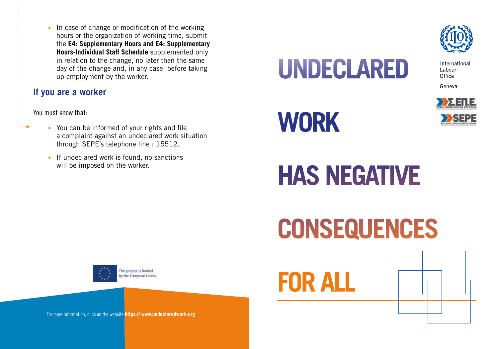• In case of change or modification of the working hours or the organization of working time, submit the **E4: Supplementary Hours and E4: Supplementary Hours-Individual Staff Schedule** supplemented only in relation to the change, no later than the same day of the change and, in any case, before taking up employment by the worker.

## **If you are a worker**

You must know that:

- You can be informed of your rights and file a complaint against an undeclared work situation through SEPE's telephone line : 15512.
- If undeclared work is found, no sanctions will be imposed on the worker.

**UNDECLARED** 



International Labour Office

Geneva







**CONSEQUENCES** 



**FOR ALL**

For more information, click on the website https://www.undeclaredwork.org